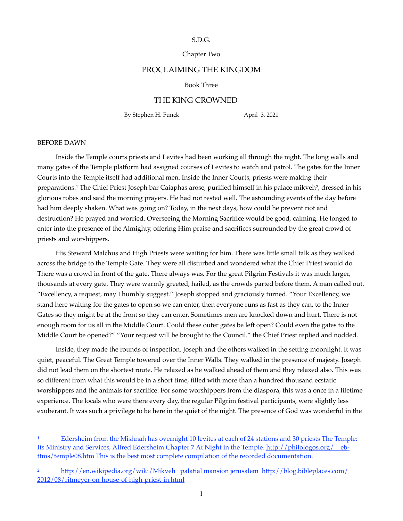## S.D.G.

## Chapter Two

# PROCLAIMING THE KINGDOM

# Book Three

# THE KING CROWNED

By Stephen H. Funck April 3, 2021

<span id="page-0-3"></span>

### BEFORE DAWN

<span id="page-0-2"></span>Inside the Temple courts priests and Levites had been working all through the night. The long walls and many gates of the Temple platform had assigned courses of Levites to watch and patrol. The gates for the Inner Courts into the Temple itself had additional men. Inside the Inner Courts, priests were making their preparations.<sup>1</sup> The Chief Priest Joseph bar Caiaphas arose[,](#page-0-1) purified himself in his palace mikveh<sup>2</sup>, dressed in his glorious robes and said the morning prayers. He had not rested well. The astounding events of the day before had him deeply shaken. What was going on? Today, in the next days, how could he prevent riot and destruction? He prayed and worried. Overseeing the Morning Sacrifice would be good, calming. He longed to enter into the presence of the Almighty, offering Him praise and sacrifices surrounded by the great crowd of priests and worshippers.

His Steward Malchus and High Priests were waiting for him. There was little small talk as they walked across the bridge to the Temple Gate. They were all disturbed and wondered what the Chief Priest would do. There was a crowd in front of the gate. There always was. For the great Pilgrim Festivals it was much larger, thousands at every gate. They were warmly greeted, hailed, as the crowds parted before them. A man called out. "Excellency, a request, may I humbly suggest." Joseph stopped and graciously turned. "Your Excellency, we stand here waiting for the gates to open so we can enter, then everyone runs as fast as they can, to the Inner Gates so they might be at the front so they can enter. Sometimes men are knocked down and hurt. There is not enough room for us all in the Middle Court. Could these outer gates be left open? Could even the gates to the Middle Court be opened?" "Your request will be brought to the Council." the Chief Priest replied and nodded.

Inside, they made the rounds of inspection. Joseph and the others walked in the setting moonlight. It was quiet, peaceful. The Great Temple towered over the Inner Walls. They walked in the presence of majesty. Joseph did not lead them on the shortest route. He relaxed as he walked ahead of them and they relaxed also. This was so different from what this would be in a short time, filled with more than a hundred thousand ecstatic worshippers and the animals for sacrifice. For some worshippers from the diaspora, this was a once in a lifetime experience. The locals who were there every day, the regular Pilgrim festival participants, were slightly less exuberant. It was such a privilege to be here in the quiet of the night. The presence of God was wonderful in the

<span id="page-0-0"></span>Edersheim from the Mishnah has overnight [1](#page-0-2)0 levites at each of 24 stations and 30 priests The Temple: Its Ministry and Services, Alfred Edersheim Chapter 7 At Night in the Temple. [http://philologos.org/\\_\\_eb](http://philologos.org/__eb-ttms/temple08.htm)[ttms/temple08.htm](http://philologos.org/__eb-ttms/temple08.htm) This is the best most complete compilation of the recorded documentation.

<span id="page-0-1"></span>[<sup>2</sup>](#page-0-3) <http://en.wikipedia.org/wiki/Mikveh>[palatial mansion jerusalem](https://www.google.com/search?q=palatial+mansion+jerusalem&client=safari&rls=en&tbm=isch&tbo=u&source=univ&sa=X&ei=DEfHUefCIIXm9gSn8oDABw&ved=0CDkQsAQ&biw=911&bih=668) [http://blog.bibleplaces.com/](http://blog.bibleplaces.com/2012/08/ritmeyer-on-house-of-high-priest-in.html) [2012/08/ritmeyer-on-house-of-high-priest-in.html](http://blog.bibleplaces.com/2012/08/ritmeyer-on-house-of-high-priest-in.html)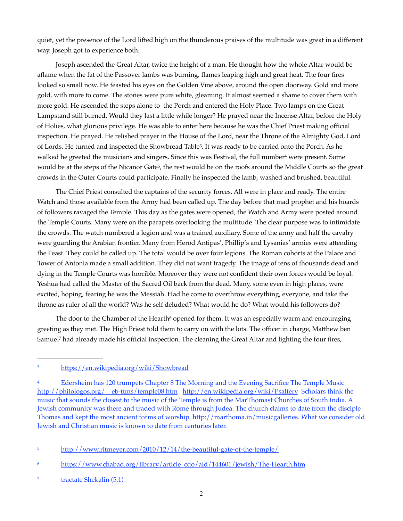quiet, yet the presence of the Lord lifted high on the thunderous praises of the multitude was great in a different way. Joseph got to experience both.

Joseph ascended the Great Altar, twice the height of a man. He thought how the whole Altar would be aflame when the fat of the Passover lambs was burning, flames leaping high and great heat. The four fires looked so small now. He feasted his eyes on the Golden Vine above, around the open doorway. Gold and more gold, with more to come. The stones were pure white, gleaming. It almost seemed a shame to cover them with more gold. He ascended the steps alone to the Porch and entered the Holy Place. Two lamps on the Great Lampstand still burned. Would they last a little while longer? He prayed near the Incense Altar, before the Holy of Holies, what glorious privilege. He was able to enter here because he was the Chief Priest making official inspection. He prayed. He relished prayer in the House of the Lord, near the Throne of the Almighty God, Lord of Lords[.](#page-1-0) He turned and inspected the Showbread Table<sup>[3](#page-1-0)</sup>. It was ready to be carried onto the Porch. As he walkedhe greeted the musicians and singers. Since this was Festival, the full number<sup>[4](#page-1-1)</sup> were present. Some would be at the steps of the Nicanor Gate<sup>[5](#page-1-2)</sup>, the rest would be on the roofs around the Middle Courts so the great crowds in the Outer Courts could participate. Finally he inspected the lamb, washed and brushed, beautiful.

<span id="page-1-7"></span><span id="page-1-6"></span><span id="page-1-5"></span>The Chief Priest consulted the captains of the security forces. All were in place and ready. The entire Watch and those available from the Army had been called up. The day before that mad prophet and his hoards of followers ravaged the Temple. This day as the gates were opened, the Watch and Army were posted around the Temple Courts. Many were on the parapets overlooking the multitude. The clear purpose was to intimidate the crowds. The watch numbered a legion and was a trained auxiliary. Some of the army and half the cavalry were guarding the Arabian frontier. Many from Herod Antipas', Phillip's and Lysanias' armies were attending the Feast. They could be called up. The total would be over four legions. The Roman cohorts at the Palace and Tower of Antonia made a small addition. They did not want tragedy. The image of tens of thousands dead and dying in the Temple Courts was horrible. Moreover they were not confident their own forces would be loyal. Yeshua had called the Master of the Sacred Oil back from the dead. Many, some even in high places, were excited, hoping, fearing he was the Messiah. Had he come to overthrow everything, everyone, and take the throne as ruler of all the world? Was he self deluded? What would he do? What would his followers do?

<span id="page-1-9"></span><span id="page-1-8"></span>The door to the Chamber of the Hearth<sup>[6](#page-1-3)</sup> opened for them. It was an especially warm and encouraging greeting as they met. The High Priest told them to carry on with the lots. The officer in charge, Matthew ben Samuel<sup>7</sup>had already made his official inspection. The cleaning the Great Altar and lighting the four fires,

<span id="page-1-0"></span><https://en.wikipedia.org/wiki/Showbread>[3](#page-1-5)

<span id="page-1-1"></span>Edersheim has 120 trumpets Chapter 8 The Morning and the Evening Sacrifice The Temple Music [http://philologos.org/\\_\\_eb-ttms/temple08.htm](http://philologos.org/__eb-ttms/temple08.htm) <http://en.wikipedia.org/wiki/Psaltery> Scholars think the music that sounds the closest to the music of the Temple is from the MarThomast Churches of South India. A Jewish community was there and traded with Rome through Judea. The church claims to date from the disciple Thomas and kept the most ancient forms of worship. [http://marthoma.in/musicgalleries.](http://marthoma.in/musicgalleries) What we consider old Jewish and Christian music is known to date from centuries later.

<span id="page-1-2"></span><http://www.ritmeyer.com/2010/12/14/the-beautiful-gate-of-the-temple/> [5](#page-1-7)

<span id="page-1-3"></span><sup>6</sup> [https://www.chabad.org/library/article\\_cdo/aid/144601/jewish/The-Hearth.htm](https://www.chabad.org/library/article_cdo/aid/144601/jewish/The-Hearth.htm)

<span id="page-1-4"></span>tractate Shekalin (5.1) [7](#page-1-9)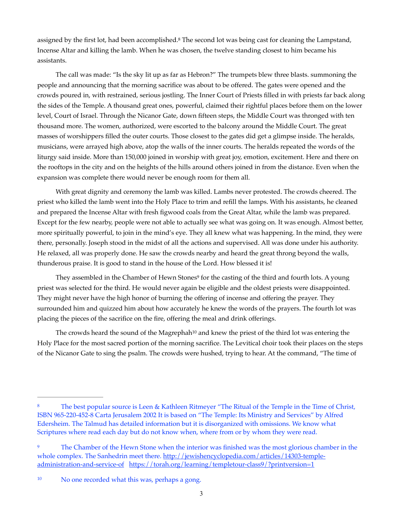<span id="page-2-3"></span>assigned by the first lot, had been accomplished.<sup>[8](#page-2-0)</sup> The second lot was being cast for cleaning the Lampstand, Incense Altar and killing the lamb. When he was chosen, the twelve standing closest to him became his assistants.

The call was made: "Is the sky lit up as far as Hebron?" The trumpets blew three blasts. summoning the people and announcing that the morning sacrifice was about to be offered. The gates were opened and the crowds poured in, with restrained, serious jostling. The Inner Court of Priests filled in with priests far back along the sides of the Temple. A thousand great ones, powerful, claimed their rightful places before them on the lower level, Court of Israel. Through the Nicanor Gate, down fifteen steps, the Middle Court was thronged with ten thousand more. The women, authorized, were escorted to the balcony around the Middle Court. The great masses of worshippers filled the outer courts. Those closest to the gates did get a glimpse inside. The heralds, musicians, were arrayed high above, atop the walls of the inner courts. The heralds repeated the words of the liturgy said inside. More than 150,000 joined in worship with great joy, emotion, excitement. Here and there on the rooftops in the city and on the heights of the hills around others joined in from the distance. Even when the expansion was complete there would never be enough room for them all.

With great dignity and ceremony the lamb was killed. Lambs never protested. The crowds cheered. The priest who killed the lamb went into the Holy Place to trim and refill the lamps. With his assistants, he cleaned and prepared the Incense Altar with fresh figwood coals from the Great Altar, while the lamb was prepared. Except for the few nearby, people were not able to actually see what was going on. It was enough. Almost better, more spiritually powerful, to join in the mind's eye. They all knew what was happening. In the mind, they were there, personally. Joseph stood in the midst of all the actions and supervised. All was done under his authority. He relaxed, all was properly done. He saw the crowds nearby and heard the great throng beyond the walls, thunderous praise. It is good to stand in the house of the Lord. How blessed it is!

<span id="page-2-4"></span>They assembled in the Chamber of Hewn Stones<sup>[9](#page-2-1)</sup> for the casting of the third and fourth lots. A young priest was selected for the third. He would never again be eligible and the oldest priests were disappointed. They might never have the high honor of burning the offering of incense and offering the prayer. They surrounded him and quizzed him about how accurately he knew the words of the prayers. The fourth lot was placing the pieces of the sacrifice on the fire, offering the meal and drink offerings.

<span id="page-2-5"></span>The crowds heard the sound of the Magrephah<sup>[10](#page-2-2)</sup> and knew the priest of the third lot was entering the Holy Place for the most sacred portion of the morning sacrifice. The Levitical choir took their places on the steps of the Nicanor Gate to sing the psalm. The crowds were hushed, trying to hear. At the command, "The time of

<span id="page-2-2"></span><sup>[10](#page-2-5)</sup> No one recorded what this was, perhaps a gong.

<span id="page-2-0"></span>The best popular source is Leen & Kathleen Ritmeyer "The Ritual of the Temple in the Time of Christ, [8](#page-2-3) ISBN 965-220-452-8 Carta Jerusalem 2002 It is based on "The Temple: Its Ministry and Services" by Alfred Edersheim. The Talmud has detailed information but it is disorganized with omissions. We know what Scriptures where read each day but do not know when, where from or by whom they were read.

<span id="page-2-1"></span>The Chamber of the Hewn Stone when the interior was finished was the most glorious chamber in the whole complex. The Sanhedrin meet there. [http://jewishencyclopedia.com/articles/14303-temple](http://jewishencyclopedia.com/articles/14303-temple-administration-and-service-of)[administration-and-service-of](http://jewishencyclopedia.com/articles/14303-temple-administration-and-service-of) <https://torah.org/learning/templetour-class9/?printversion=1>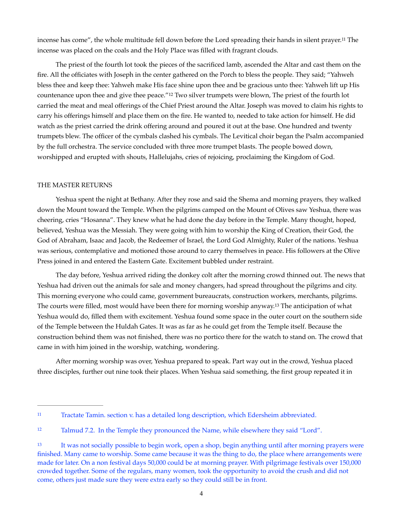<span id="page-3-3"></span>incense has come", the whole multitude fell down before the Lord spreading their hands in silent prayer.<sup>[11](#page-3-0)</sup> The incense was placed on the coals and the Holy Place was filled with fragrant clouds.

<span id="page-3-4"></span>The priest of the fourth lot took the pieces of the sacrificed lamb, ascended the Altar and cast them on the fire. All the officiates with Joseph in the center gathered on the Porch to bless the people. They said; "Yahweh bless thee and keep thee: Yahweh make His face shine upon thee and be gracious unto thee: Yahweh lift up His countenance upon thee and give thee peace.["](#page-3-1)<sup>[12](#page-3-1)</sup> Two silver trumpets were blown, The priest of the fourth lot carried the meat and meal offerings of the Chief Priest around the Altar. Joseph was moved to claim his rights to carry his offerings himself and place them on the fire. He wanted to, needed to take action for himself. He did watch as the priest carried the drink offering around and poured it out at the base. One hundred and twenty trumpets blew. The officer of the cymbals clashed his cymbals. The Levitical choir began the Psalm accompanied by the full orchestra. The service concluded with three more trumpet blasts. The people bowed down, worshipped and erupted with shouts, Hallelujahs, cries of rejoicing, proclaiming the Kingdom of God.

### THE MASTER RETURNS

Yeshua spent the night at Bethany. After they rose and said the Shema and morning prayers, they walked down the Mount toward the Temple. When the pilgrims camped on the Mount of Olives saw Yeshua, there was cheering, cries "Hosanna". They knew what he had done the day before in the Temple. Many thought, hoped, believed, Yeshua was the Messiah. They were going with him to worship the King of Creation, their God, the God of Abraham, Isaac and Jacob, the Redeemer of Israel, the Lord God Almighty, Ruler of the nations. Yeshua was serious, contemplative and motioned those around to carry themselves in peace. His followers at the Olive Press joined in and entered the Eastern Gate. Excitement bubbled under restraint.

<span id="page-3-5"></span>The day before, Yeshua arrived riding the donkey colt after the morning crowd thinned out. The news that Yeshua had driven out the animals for sale and money changers, had spread throughout the pilgrims and city. This morning everyone who could came, government bureaucrats, construction workers, merchants, pilgrims. The courts were filled, most would have been there for morning worship anyway.<sup>[13](#page-3-2)</sup> The anticipation of what Yeshua would do, filled them with excitement. Yeshua found some space in the outer court on the southern side of the Temple between the Huldah Gates. It was as far as he could get from the Temple itself. Because the construction behind them was not finished, there was no portico there for the watch to stand on. The crowd that came in with him joined in the worship, watching, wondering.

After morning worship was over, Yeshua prepared to speak. Part way out in the crowd, Yeshua placed three disciples, further out nine took their places. When Yeshua said something, the first group repeated it in

<span id="page-3-0"></span>Tractate Tamin. section v. has a detailed long description, which Edersheim abbreviated. [11](#page-3-3)

<span id="page-3-1"></span>[<sup>12</sup>](#page-3-4) Talmud 7.2. In the Temple they pronounced the Name, while elsewhere they said "Lord".

<span id="page-3-2"></span><sup>&</sup>lt;sup>[13](#page-3-5)</sup> It was not socially possible to begin work, open a shop, begin anything until after morning prayers were finished. Many came to worship. Some came because it was the thing to do, the place where arrangements were made for later. On a non festival days 50,000 could be at morning prayer. With pilgrimage festivals over 150,000 crowded together. Some of the regulars, many women, took the opportunity to avoid the crush and did not come, others just made sure they were extra early so they could still be in front.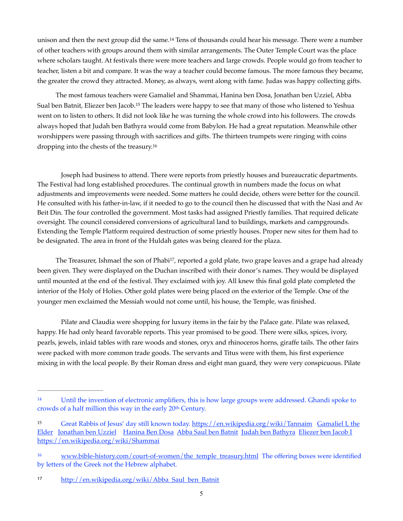<span id="page-4-4"></span>unison and then the next group did the same.<sup>[14](#page-4-0)</sup> Tens of thousands could hear his message. There were a number of other teachers with groups around them with similar arrangements. The Outer Temple Court was the place where scholars taught. At festivals there were more teachers and large crowds. People would go from teacher to teacher, listen a bit and compare. It was the way a teacher could become famous. The more famous they became, the greater the crowd they attracted. Money, as always, went along with fame. Judas was happy collecting gifts.

<span id="page-4-5"></span>The most famous teachers were Gamaliel and Shammai, Hanina ben Dosa, Jonathan ben Uzziel, Abba Sual ben Batnit, Eliezer ben Jacob.<sup>[15](#page-4-1)</sup> The leaders were happy to see that many of those who listened to Yeshua went on to listen to others. It did not look like he was turning the whole crowd into his followers. The crowds always hoped that Judah ben Bathyra would come from Babylon. He had a great reputation. Meanwhile other worshippers were passing through with sacrifices and gifts. The thirteen trumpets were ringing with coins dropping into the chests of the treasury[.16](#page-4-2)

<span id="page-4-6"></span>Joseph had business to attend. There were reports from priestly houses and bureaucratic departments. The Festival had long established procedures. The continual growth in numbers made the focus on what adjustments and improvements were needed. Some matters he could decide, others were better for the council. He consulted with his father-in-law, if it needed to go to the council then he discussed that with the Nasi and Av Beit Din. The four controlled the government. Most tasks had assigned Priestly families. That required delicate oversight. The council considered conversions of agricultural land to buildings, markets and campgrounds. Extending the Temple Platform required destruction of some priestly houses. Proper new sites for them had to be designated. The area in front of the Huldah gates was being cleared for the plaza.

<span id="page-4-7"></span>The Treasurer[,](#page-4-3) Ishmael the son of Phabi<sup>[17](#page-4-3)</sup>, reported a gold plate, two grape leaves and a grape had already been given. They were displayed on the Duchan inscribed with their donor's names. They would be displayed until mounted at the end of the festival. They exclaimed with joy. All knew this final gold plate completed the interior of the Holy of Holies. Other gold plates were being placed on the exterior of the Temple. One of the younger men exclaimed the Messiah would not come until, his house, the Temple, was finished.

Pilate and Claudia were shopping for luxury items in the fair by the Palace gate. Pilate was relaxed, happy. He had only heard favorable reports. This year promised to be good. There were silks, spices, ivory, pearls, jewels, inlaid tables with rare woods and stones, oryx and rhinoceros horns, giraffe tails. The other fairs were packed with more common trade goods. The servants and Titus were with them, his first experience mixing in with the local people. By their Roman dress and eight man guard, they were very conspicuous. Pilate

<span id="page-4-0"></span>Until the invention of electronic amplifiers, this is how large groups were addressed. Ghandi spoke to [14](#page-4-4) crowds of a half million this way in the early 20th Century.

<span id="page-4-1"></span><sup>15</sup> Great Rabbis of Jesus' day still known today. <https://en.wikipedia.org/wiki/Tannaim>Gamaliel I, the [Elder](http://en.wikipedia.org/wiki/Gamaliel) [Jonathan ben Uzziel](http://en.wikipedia.org/wiki/Jonathan_ben_Uzziel) [Hanina Ben Dosa](http://en.wikipedia.org/wiki/Hanina_Ben_Dosa) [Abba Saul ben Batnit](http://en.wikipedia.org/wiki/Abba_Saul_ben_Batnit) [Judah ben Bathyra](http://en.wikipedia.org/wiki/Judah_ben_Bathyra) [Eliezer ben Jacob I](http://en.wikipedia.org/wiki/Eliezer_ben_Jacob_I) <https://en.wikipedia.org/wiki/Shammai>

<span id="page-4-2"></span><sup>&</sup>lt;sup>16</sup> [www.bible-history.com/court-of-women/the\\_temple\\_treasury.html](http://www.bible-history.com/court-of-women/the_temple_treasury.html) The offering boxes were identified by letters of the Greek not the Hebrew alphabet.

<span id="page-4-3"></span>[<sup>17</sup>](#page-4-7) http://en.wikipedia.org/wiki/Abba\_Saul\_ben\_Batnit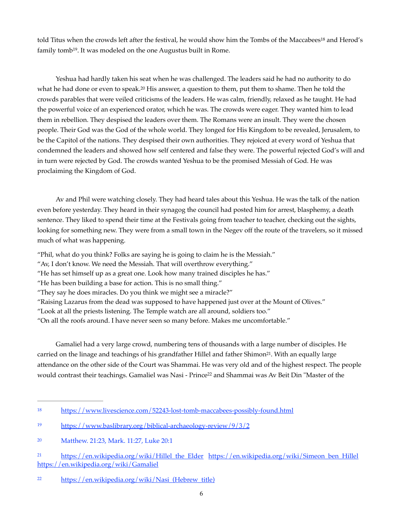<span id="page-5-6"></span><span id="page-5-5"></span>told Titu[s](#page-5-0) when the crowds left after the festival, he would show him the Tombs of the Maccabees<sup>[18](#page-5-0)</sup> and Herod's family tomb<sup>[19](#page-5-1)</sup>. It was modeled on the one Augustus built in Rome.

<span id="page-5-7"></span>Yeshua had hardly taken his seat when he was challenged. The leaders said he had no authority to do what he had done or even to speak.<sup>[20](#page-5-2)</sup> His answer, a question to them, put them to shame. Then he told the crowds parables that were veiled criticisms of the leaders. He was calm, friendly, relaxed as he taught. He had the powerful voice of an experienced orator, which he was. The crowds were eager. They wanted him to lead them in rebellion. They despised the leaders over them. The Romans were an insult. They were the chosen people. Their God was the God of the whole world. They longed for His Kingdom to be revealed, Jerusalem, to be the Capitol of the nations. They despised their own authorities. They rejoiced at every word of Yeshua that condemned the leaders and showed how self centered and false they were. The powerful rejected God's will and in turn were rejected by God. The crowds wanted Yeshua to be the promised Messiah of God. He was proclaiming the Kingdom of God.

Av and Phil were watching closely. They had heard tales about this Yeshua. He was the talk of the nation even before yesterday. They heard in their synagog the council had posted him for arrest, blasphemy, a death sentence. They liked to spend their time at the Festivals going from teacher to teacher, checking out the sights, looking for something new. They were from a small town in the Negev off the route of the travelers, so it missed much of what was happening.

"Phil, what do you think? Folks are saying he is going to claim he is the Messiah."

"Av, I don't know. We need the Messiah. That will overthrow everything."

"He has set himself up as a great one. Look how many trained disciples he has."

"He has been building a base for action. This is no small thing."

"They say he does miracles. Do you think we might see a miracle?"

"Raising Lazarus from the dead was supposed to have happened just over at the Mount of Olives."

"Look at all the priests listening. The Temple watch are all around, soldiers too."

"On all the roofs around. I have never seen so many before. Makes me uncomfortable."

<span id="page-5-9"></span><span id="page-5-8"></span>Gamaliel had a very large crowd, numbering tens of thousands with a large number of disciples. He carried on the linage and teachings of his grandfather Hillel and father Shimon<sup>21</sup>[.](#page-5-3) With an equally large attendance on the other side of the Court was Shammai. He was very old and of the highest respect. The people would contrast th[e](#page-5-4)ir teachings. Gamaliel was Nasi - Prince<sup>[22](#page-5-4)</sup> and Shammai was Av Beit Din "Master of the

<span id="page-5-0"></span><sup>18</sup> <https://www.livescience.com/52243-lost-tomb-maccabees-possibly-found.html>

<span id="page-5-1"></span><https://www.baslibrary.org/biblical-archaeology-review/9/3/2> [19](#page-5-6)

<span id="page-5-2"></span><sup>&</sup>lt;sup>[20](#page-5-7)</sup> Matthew. 21:23, Mark. 11:27, Luke 20:1

<span id="page-5-3"></span><sup>21</sup> [https://en.wikipedia.org/wiki/Hillel\\_the\\_Elder](https://en.wikipedia.org/wiki/Hillel_the_Elder) https://en.wikipedia.org/wiki/Simeon\_ben\_Hillel <https://en.wikipedia.org/wiki/Gamaliel>

<span id="page-5-4"></span><sup>22</sup> [https://en.wikipedia.org/wiki/Nasi\\_\(Hebrew\\_title\)](https://en.wikipedia.org/wiki/Nasi_(Hebrew_title))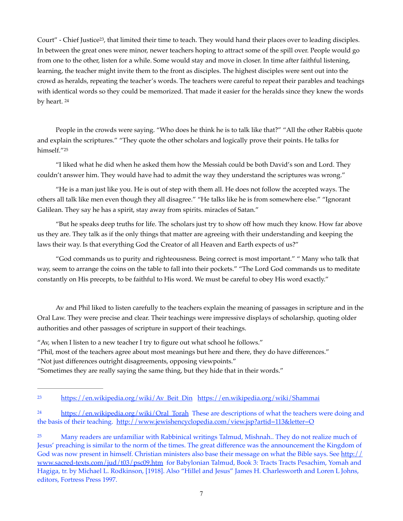<span id="page-6-3"></span>Court" - Chief Justice<sup>23</sup>[,](#page-6-0) that limited their time to teach. They would hand their places over to leading disciples. In between the great ones were minor, newer teachers hoping to attract some of the spill over. People would go from one to the other, listen for a while. Some would stay and move in closer. In time after faithful listening, learning, the teacher might invite them to the front as disciples. The highest disciples were sent out into the crowd as heralds, repeating the teacher's words. The teachers were careful to repeat their parables and teachings with identical words so they could be memorized. That made it easier for the heralds since they knew the words by heart. [24](#page-6-1)

<span id="page-6-4"></span>People in the crowds were saying. "Who does he think he is to talk like that?" "All the other Rabbis quote and explain the scriptures." "They quote the other scholars and logically prove their points. He talks for himself."<sup>25</sup>

<span id="page-6-5"></span>"I liked what he did when he asked them how the Messiah could be both David's son and Lord. They couldn't answer him. They would have had to admit the way they understand the scriptures was wrong."

"He is a man just like you. He is out of step with them all. He does not follow the accepted ways. The others all talk like men even though they all disagree." "He talks like he is from somewhere else." "Ignorant Galilean. They say he has a spirit, stay away from spirits. miracles of Satan."

"But he speaks deep truths for life. The scholars just try to show off how much they know. How far above us they are. They talk as if the only things that matter are agreeing with their understanding and keeping the laws their way. Is that everything God the Creator of all Heaven and Earth expects of us?"

"God commands us to purity and righteousness. Being correct is most important." " Many who talk that way, seem to arrange the coins on the table to fall into their pockets." "The Lord God commands us to meditate constantly on His precepts, to be faithful to His word. We must be careful to obey His word exactly."

Av and Phil liked to listen carefully to the teachers explain the meaning of passages in scripture and in the Oral Law. They were precise and clear. Their teachings were impressive displays of scholarship, quoting older authorities and other passages of scripture in support of their teachings.

"Av, when I listen to a new teacher I try to figure out what school he follows."

"Phil, most of the teachers agree about most meanings but here and there, they do have differences."

"Not just differences outright disagreements, opposing viewpoints."

"Sometimes they are really saying the same thing, but they hide that in their words."

<span id="page-6-0"></span><sup>&</sup>lt;sup>23</sup> [https://en.wikipedia.org/wiki/Av\\_Beit\\_Din](https://en.wikipedia.org/wiki/Av_Beit_Din) https://en.wikipedia.org/wiki/Shammai

<span id="page-6-1"></span>[https://en.wikipedia.org/wiki/Oral\\_Torah](https://en.wikipedia.org/wiki/Oral_Torah) These are descriptions of what the teachers were doing and the basis of their teaching. <http://www.jewishencyclopedia.com/view.jsp?artid=113&letter=O>

<span id="page-6-2"></span>[<sup>25</sup>](#page-6-5) Many readers are unfamiliar with Rabbinical writings Talmud, Mishnah.. They do not realize much of Jesus' preaching is similar to the norm of the times. The great difference was the announcement the Kingdom of God was now present in himself. Christian ministers also base their message on what the Bible says. See [http://](http://www.sacred-texts.com/jud/t03/psc09.htm) [www.sacred-texts.com/jud/t03/psc09.htm](http://www.sacred-texts.com/jud/t03/psc09.htm) for Babylonian Talmud, Book 3: Tracts Tracts Pesachim, Yomah and Hagiga, tr. by Michael L. Rodkinson, [1918]. Also "Hillel and Jesus" James H. Charlesworth and Loren L Johns, editors, Fortress Press 1997.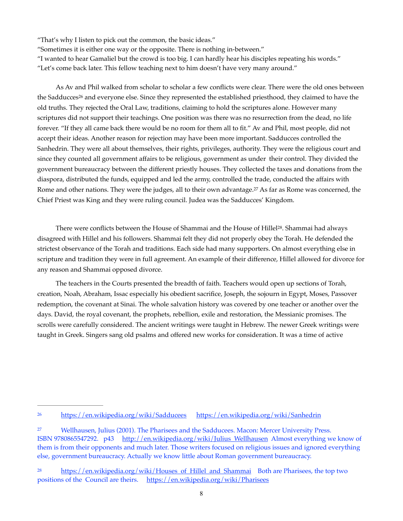"That's why I listen to pick out the common, the basic ideas."

"Sometimes it is either one way or the opposite. There is nothing in-between."

"I wanted to hear Gamaliel but the crowd is too big. I can hardly hear his disciples repeating his words."

"Let's come back later. This fellow teaching next to him doesn't have very many around."

<span id="page-7-3"></span>As Av and Phil walked from scholar to scholar a few conflicts were clear. There were the old ones between the Sadducce[s](#page-7-0)<sup>[26](#page-7-0)</sup> and everyone else. Since they represented the established priesthood, they claimed to have the old truths. They rejected the Oral Law, traditions, claiming to hold the scriptures alone. However many scriptures did not support their teachings. One position was there was no resurrection from the dead, no life forever. "If they all came back there would be no room for them all to fit." Av and Phil, most people, did not accept their ideas. Another reason for rejection may have been more important. Sadducces controlled the Sanhedrin. They were all about themselves, their rights, privileges, authority. They were the religious court and since they counted all government affairs to be religious, government as under their control. They divided the government bureaucracy between the different priestly houses. They collected the taxes and donations from the diaspora, distributed the funds, equipped and led the army, controlled the trade, conducted the affairs with Rome and other nations. They were the judges, all to their own advantage.<sup>[27](#page-7-1)</sup> As far as Rome was concerned, the Chief Priest was King and they were ruling council. Judea was the Sadducces' Kingdom.

<span id="page-7-5"></span><span id="page-7-4"></span>There were conflicts between the House of Shammai and the House of Hillel<sup>28</sup>[.](#page-7-2) Shammai had always disagreed with Hillel and his followers. Shammai felt they did not properly obey the Torah. He defended the strictest observance of the Torah and traditions. Each side had many supporters. On almost everything else in scripture and tradition they were in full agreement. An example of their difference, Hillel allowed for divorce for any reason and Shammai opposed divorce.

The teachers in the Courts presented the breadth of faith. Teachers would open up sections of Torah, creation, Noah, Abraham, Issac especially his obedient sacrifice, Joseph, the sojourn in Egypt, Moses, Passover redemption, the covenant at Sinai. The whole salvation history was covered by one teacher or another over the days. David, the royal covenant, the prophets, rebellion, exile and restoration, the Messianic promises. The scrolls were carefully considered. The ancient writings were taught in Hebrew. The newer Greek writings were taught in Greek. Singers sang old psalms and offered new works for consideration. It was a time of active

<span id="page-7-0"></span><https://en.wikipedia.org/wiki/Sadducees> <https://en.wikipedia.org/wiki/Sanhedrin>[26](#page-7-3)

<span id="page-7-1"></span>[<sup>27</sup>](#page-7-4) Wellhausen, Julius (2001). The Pharisees and the Sadducees. Macon: Mercer University Press. ISBN 9780865547292. p43 [http://en.wikipedia.org/wiki/Julius\\_Wellhausen](http://en.wikipedia.org/wiki/Julius_Wellhausen) Almost everything we know of them is from their opponents and much later. Those writers focused on religious issues and ignored everything else, government bureaucracy. Actually we know little about Roman government bureaucracy.

<span id="page-7-2"></span><sup>&</sup>lt;sup>[28](#page-7-5)</sup> https://en.wikipedia.org/wiki/Houses of Hillel and Shammai Both are Pharisees, the top two positions of the Council are theirs. https://en.wikipedia.org/wiki/Pharisees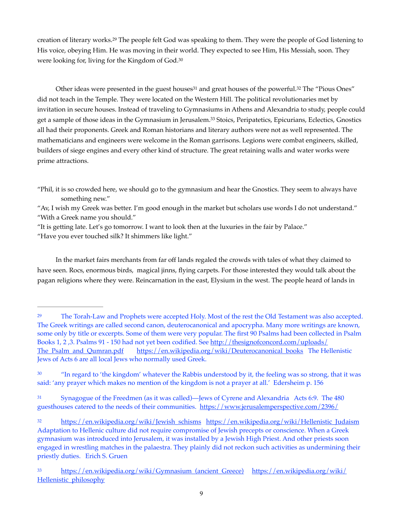<span id="page-8-6"></span><span id="page-8-5"></span>creationof literary works.<sup>[29](#page-8-0)</sup> The people felt God was speaking to them. They were the people of God listening to His voice, obeying Him. He was moving in their world. They expected to see Him, His Messiah, soon. They were looking for, living for the Kingdom of God[.](#page-8-1)<sup>[30](#page-8-1)</sup>

<span id="page-8-9"></span><span id="page-8-8"></span><span id="page-8-7"></span>Other idea[s](#page-8-2) were presented in the guest houses<sup>[31](#page-8-2)</sup> and great houses of the powerful.<sup>32</sup> The "Pious Ones" did not teach in the Temple. They were located on the Western Hill. The political revolutionaries met by invitation in secure houses. Instead of traveling to Gymnasiums in Athens and Alexandria to study, people could geta sample of those ideas in the Gymnasium in Jerusalem.<sup>[33](#page-8-4)</sup> Stoics, Peripatetics, Epicurians, Eclectics, Gnostics all had their proponents. Greek and Roman historians and literary authors were not as well represented. The mathematicians and engineers were welcome in the Roman garrisons. Legions were combat engineers, skilled, builders of siege engines and every other kind of structure. The great retaining walls and water works were prime attractions.

"Av, I wish my Greek was better. I'm good enough in the market but scholars use words I do not understand." "With a Greek name you should."

"It is getting late. Let's go tomorrow. I want to look then at the luxuries in the fair by Palace."

"Have you ever touched silk? It shimmers like light."

In the market fairs merchants from far off lands regaled the crowds with tales of what they claimed to have seen. Rocs, enormous birds, magical jinns, flying carpets. For those interested they would talk about the pagan religions where they were. Reincarnation in the east, Elysium in the west. The people heard of lands in

<sup>&</sup>quot;Phil, it is so crowded here, we should go to the gymnasium and hear the Gnostics. They seem to always have something new."

<span id="page-8-0"></span><sup>&</sup>lt;sup>[29](#page-8-5)</sup> The Torah-Law and Prophets were accepted Holy. Most of the rest the Old Testament was also accepted. The Greek writings are called second canon, deuterocanonical and apocrypha. Many more writings are known, some only by title or excerpts. Some of them were very popular. The first 90 Psalms had been collected in Psalm Books 1, 2, 3. Psalms 91 - 150 had not yet been codified. See [http://thesignofconcord.com/uploads/](http://thesignofconcord.com/uploads/The_Psalm_and_Qumran.pdf) The Psalm and Qumran.pdf https://en.wikipedia.org/wiki/Deuterocanonical books The Hellenistic Jews of Acts 6 are all local Jews who normally used Greek.

<span id="page-8-1"></span><sup>&</sup>lt;sup>[30](#page-8-6)</sup> "In regard to 'the kingdom' whatever the Rabbis understood by it, the feeling was so strong, that it was said: 'any prayer which makes no mention of the kingdom is not a prayer at all.' Edersheim p. 156

<span id="page-8-2"></span>Synagogue of the Freedmen (as it was called)—Jews of Cyrene and Alexandria Acts 6:9. The 480 [31](#page-8-7) guesthouses catered to the needs of their communities. <https://www.jerusalemperspective.com/2396/>

<span id="page-8-3"></span><sup>32</sup> [https://en.wikipedia.org/wiki/Jewish\\_schisms](https://en.wikipedia.org/wiki/Jewish_schisms) [https://en.wikipedia.org/wiki/Hellenistic\\_Judaism](https://en.wikipedia.org/wiki/Hellenistic_Judaism) Adaptation to Hellenic culture did not require compromise of Jewish precepts or conscience. When a Greek gymnasium was introduced into Jerusalem, it was installed by a Jewish High Priest. And other priests soon engaged in wrestling matches in the palaestra. They plainly did not reckon such activities as undermining their priestly duties. Erich S. Gruen

<span id="page-8-4"></span>[<sup>33</sup>](#page-8-9) [https://en.wikipedia.org/wiki/Gymnasium\\_\(ancient\\_Greece\)](https://en.wikipedia.org/wiki/Gymnasium_(ancient_Greece)) [https://en.wikipedia.org/wiki/](https://en.wikipedia.org/wiki/Hellenistic_philosophy) [Hellenistic\\_philosophy](https://en.wikipedia.org/wiki/Hellenistic_philosophy)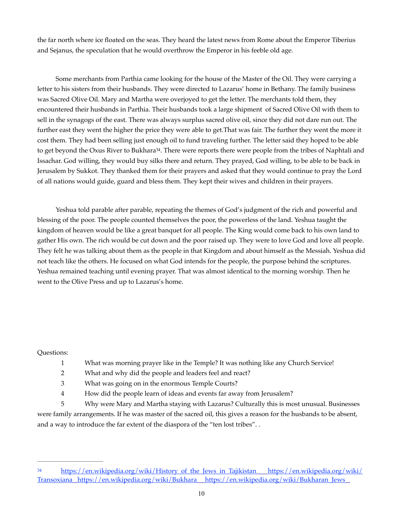the far north where ice floated on the seas. They heard the latest news from Rome about the Emperor Tiberius and Sejanus, the speculation that he would overthrow the Emperor in his feeble old age.

Some merchants from Parthia came looking for the house of the Master of the Oil. They were carrying a letter to his sisters from their husbands. They were directed to Lazarus' home in Bethany. The family business was Sacred Olive Oil. Mary and Martha were overjoyed to get the letter. The merchants told them, they encountered their husbands in Parthia. Their husbands took a large shipment of Sacred Olive Oil with them to sell in the synagogs of the east. There was always surplus sacred olive oil, since they did not dare run out. The further east they went the higher the price they were able to get.That was fair. The further they went the more it cost them. They had been selling just enough oil to fund traveling further. The letter said they hoped to be able to get beyond the Oxus River to Bukhara<sup>34</sup>[.](#page-9-0) There were reports there were people from the tribes of Naphtali and Issachar. God willing, they would buy silks there and return. They prayed, God willing, to be able to be back in Jerusalem by Sukkot. They thanked them for their prayers and asked that they would continue to pray the Lord of all nations would guide, guard and bless them. They kept their wives and children in their prayers.

<span id="page-9-1"></span>Yeshua told parable after parable, repeating the themes of God's judgment of the rich and powerful and blessing of the poor. The people counted themselves the poor, the powerless of the land. Yeshua taught the kingdom of heaven would be like a great banquet for all people. The King would come back to his own land to gather His own. The rich would be cut down and the poor raised up. They were to love God and love all people. They felt he was talking about them as the people in that Kingdom and about himself as the Messiah. Yeshua did not teach like the others. He focused on what God intends for the people, the purpose behind the scriptures. Yeshua remained teaching until evening prayer. That was almost identical to the morning worship. Then he went to the Olive Press and up to Lazarus's home.

# Questions:

- 1 What was morning prayer like in the Temple? It was nothing like any Church Service!
- 2 What and why did the people and leaders feel and react?
- 3 What was going on in the enormous Temple Courts?
- 4 How did the people learn of ideas and events far away from Jerusalem?

5 Why were Mary and Martha staying with Lazarus? Culturally this is most unusual. Businesses were family arrangements. If he was master of the sacred oil, this gives a reason for the husbands to be absent, and a way to introduce the far extent of the diaspora of the "ten lost tribes". .

<span id="page-9-0"></span><sup>&</sup>lt;sup>[34](#page-9-1)</sup> [https://en.wikipedia.org/wiki/](https://en.wikipedia.org/wiki/Transoxiana)History of the Jews in Tajikistan https://en.wikipedia.org/wiki/ [Transoxiana](https://en.wikipedia.org/wiki/Transoxiana) <https://en.wikipedia.org/wiki/Bukhara> [https://en.wikipedia.org/wiki/Bukharan\\_Jews](https://en.wikipedia.org/wiki/Bukharan_Jews)